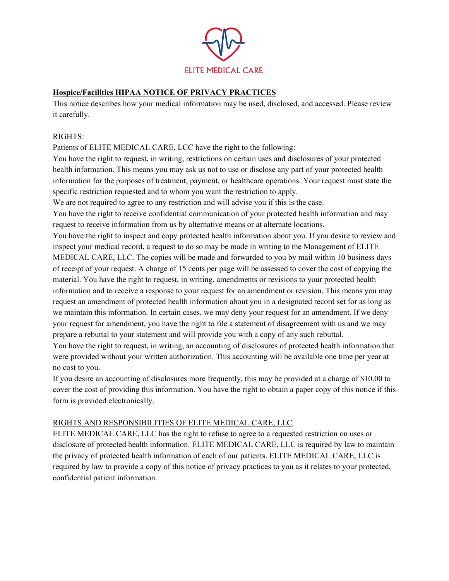

# **Hospice/Facilities HIPAA NOTICE OF PRIVACY PRACTICES**

This notice describes how your medical information may be used, disclosed, and accessed. Please review it carefully.

### RIGHTS:

Patients of ELITE MEDICAL CARE, LCC have the right to the following:

You have the right to request, in writing, restrictions on certain uses and disclosures of your protected health information. This means you may ask us not to use or disclose any part of your protected health information for the purposes of treatment, payment, or healthcare operations. Your request must state the specific restriction requested and to whom you want the restriction to apply.

We are not required to agree to any restriction and will advise you if this is the case.

You have the right to receive confidential communication of your protected health information and may request to receive information from us by alternative means or at alternate locations.

You have the right to inspect and copy protected health information about you. If you desire to review and inspect your medical record, a request to do so may be made in writing to the Management of ELITE MEDICAL CARE, LLC. The copies will be made and forwarded to you by mail within 10 business days of receipt of your request. A charge of 15 cents per page will be assessed to cover the cost of copying the material. You have the right to request, in writing, amendments or revisions to your protected health information and to receive a response to your request for an amendment or revision. This means you may request an amendment of protected health information about you in a designated record set for as long as we maintain this information. In certain cases, we may deny your request for an amendment. If we deny your request for amendment, you have the right to file a statement of disagreement with us and we may prepare a rebuttal to your statement and will provide you with a copy of any such rebuttal.

You have the right to request, in writing, an accounting of disclosures of protected health information that were provided without your written authorization. This accounting will be available one time per year at no cost to you.

If you desire an accounting of disclosures more frequently, this may be provided at a charge of \$10.00 to cover the cost of providing this information. You have the right to obtain a paper copy of this notice if this form is provided electronically.

## RIGHTS AND RESPONSIBILITIES OF ELITE MEDICAL CARE, LLC

ELITE MEDICAL CARE, LLC has the right to refuse to agree to a requested restriction on uses or disclosure of protected health information. ELITE MEDICAL CARE, LLC is required by law to maintain the privacy of protected health information of each of our patients. ELITE MEDICAL CARE, LLC is required by law to provide a copy of this notice of privacy practices to you as it relates to your protected, confidential patient information.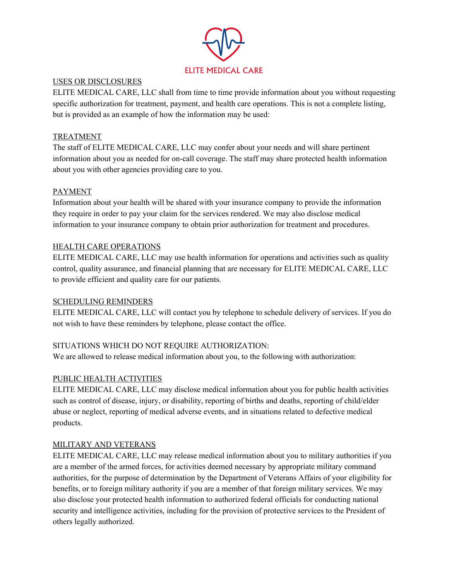

#### USES OR DISCLOSURES

ELITE MEDICAL CARE, LLC shall from time to time provide information about you without requesting specific authorization for treatment, payment, and health care operations. This is not a complete listing, but is provided as an example of how the information may be used:

# TREATMENT

The staff of ELITE MEDICAL CARE, LLC may confer about your needs and will share pertinent information about you as needed for on-call coverage. The staff may share protected health information about you with other agencies providing care to you.

# PAYMENT

Information about your health will be shared with your insurance company to provide the information they require in order to pay your claim for the services rendered. We may also disclose medical information to your insurance company to obtain prior authorization for treatment and procedures.

## HEALTH CARE OPERATIONS

ELITE MEDICAL CARE, LLC may use health information for operations and activities such as quality control, quality assurance, and financial planning that are necessary for ELITE MEDICAL CARE, LLC to provide efficient and quality care for our patients.

## SCHEDULING REMINDERS

ELITE MEDICAL CARE, LLC will contact you by telephone to schedule delivery of services. If you do not wish to have these reminders by telephone, please contact the office.

## SITUATIONS WHICH DO NOT REQUIRE AUTHORIZATION:

We are allowed to release medical information about you, to the following with authorization:

## PUBLIC HEALTH ACTIVITIES

ELITE MEDICAL CARE, LLC may disclose medical information about you for public health activities such as control of disease, injury, or disability, reporting of births and deaths, reporting of child/elder abuse or neglect, reporting of medical adverse events, and in situations related to defective medical products.

#### MILITARY AND VETERANS

ELITE MEDICAL CARE, LLC may release medical information about you to military authorities if you are a member of the armed forces, for activities deemed necessary by appropriate military command authorities, for the purpose of determination by the Department of Veterans Affairs of your eligibility for benefits, or to foreign military authority if you are a member of that foreign military services. We may also disclose your protected health information to authorized federal officials for conducting national security and intelligence activities, including for the provision of protective services to the President of others legally authorized.